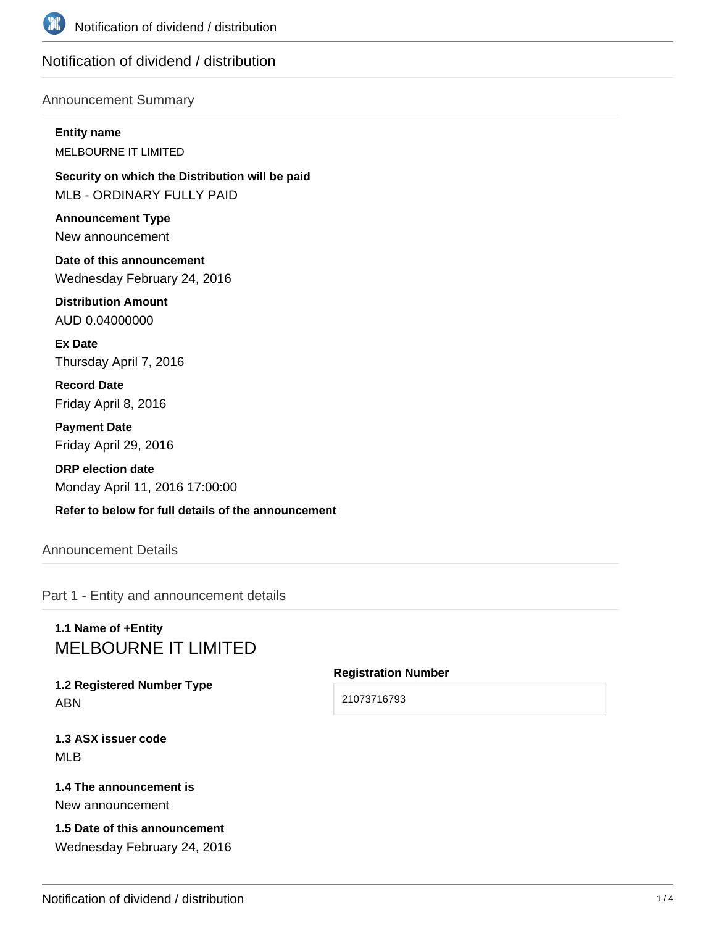

# Notification of dividend / distribution

# Announcement Summary

**Entity name** MELBOURNE IT LIMITED

**Security on which the Distribution will be paid** MLB - ORDINARY FULLY PAID

**Announcement Type** New announcement

**Date of this announcement** Wednesday February 24, 2016

**Distribution Amount** AUD 0.04000000

**Ex Date** Thursday April 7, 2016

**Record Date** Friday April 8, 2016

**Payment Date** Friday April 29, 2016

**DRP election date** Monday April 11, 2016 17:00:00

**Refer to below for full details of the announcement**

Announcement Details

Part 1 - Entity and announcement details

# **1.1 Name of +Entity** MELBOURNE IT LIMITED

**1.2 Registered Number Type** ABN

**1.3 ASX issuer code** MLB

**1.4 The announcement is** New announcement

**1.5 Date of this announcement** Wednesday February 24, 2016

#### **Registration Number**

21073716793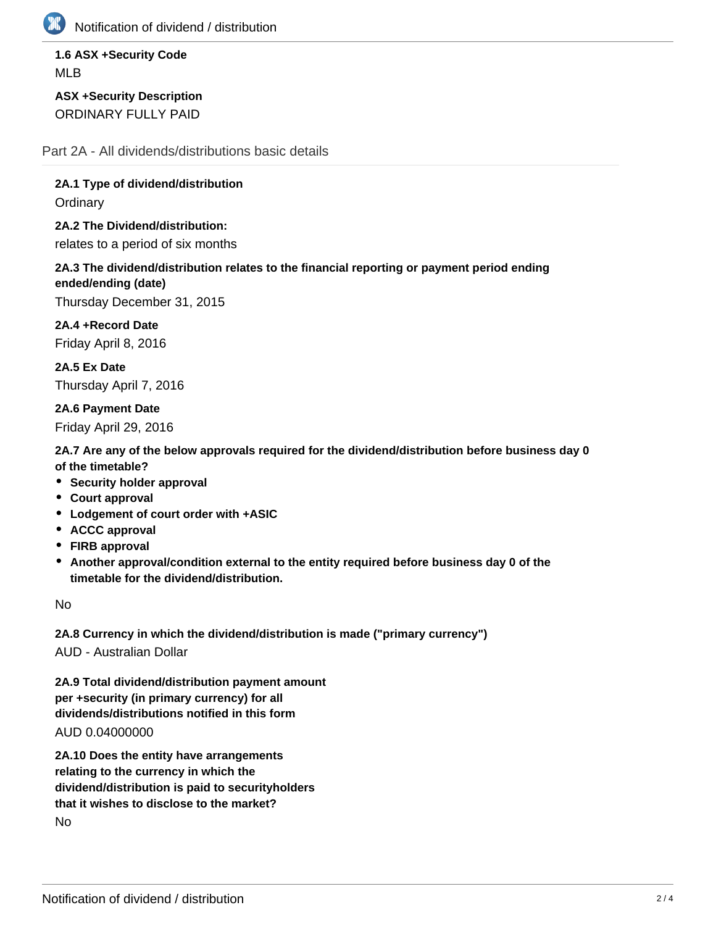

Notification of dividend / distribution

# **1.6 ASX +Security Code** MLB

**ASX +Security Description** ORDINARY FULLY PAID

Part 2A - All dividends/distributions basic details

**2A.1 Type of dividend/distribution**

**Ordinary** 

**2A.2 The Dividend/distribution:** relates to a period of six months

**2A.3 The dividend/distribution relates to the financial reporting or payment period ending ended/ending (date)**

Thursday December 31, 2015

**2A.4 +Record Date** Friday April 8, 2016

**2A.5 Ex Date** Thursday April 7, 2016

**2A.6 Payment Date** Friday April 29, 2016

**2A.7 Are any of the below approvals required for the dividend/distribution before business day 0 of the timetable?**

- **Security holder approval**
- **Court approval**
- **Lodgement of court order with +ASIC**
- **ACCC approval**
- **FIRB approval**
- **Another approval/condition external to the entity required before business day 0 of the timetable for the dividend/distribution.**

No

**2A.8 Currency in which the dividend/distribution is made ("primary currency")** AUD - Australian Dollar

**2A.9 Total dividend/distribution payment amount per +security (in primary currency) for all**

**dividends/distributions notified in this form**

AUD 0.04000000

**2A.10 Does the entity have arrangements relating to the currency in which the dividend/distribution is paid to securityholders that it wishes to disclose to the market?** No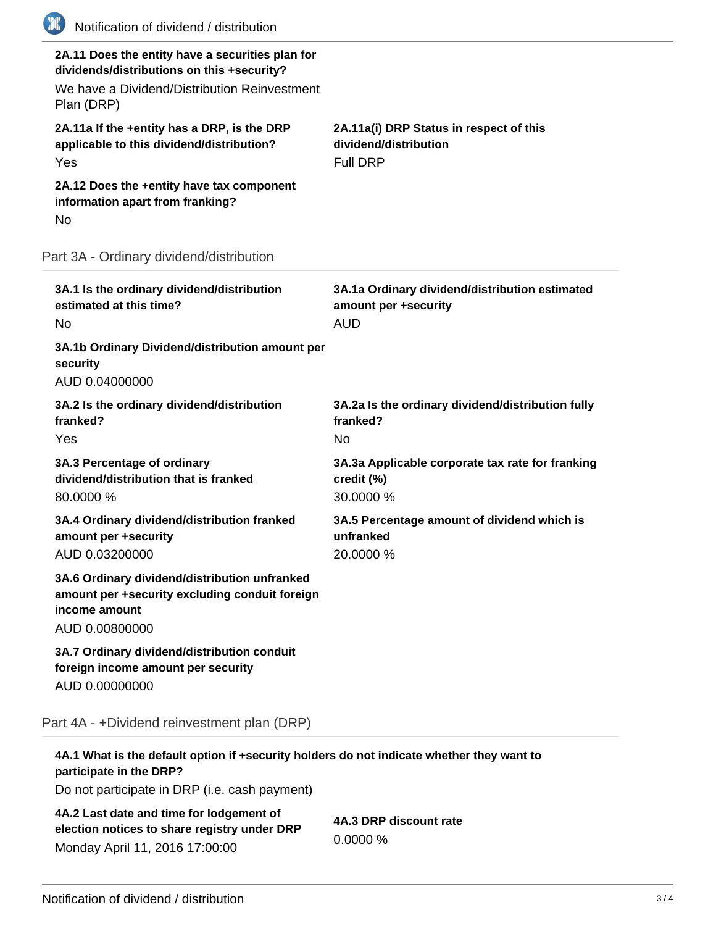| (K)<br>Notification of dividend / distribution                                                                                                               |                                                                                      |
|--------------------------------------------------------------------------------------------------------------------------------------------------------------|--------------------------------------------------------------------------------------|
| 2A.11 Does the entity have a securities plan for<br>dividends/distributions on this +security?<br>We have a Dividend/Distribution Reinvestment<br>Plan (DRP) |                                                                                      |
| 2A.11a If the +entity has a DRP, is the DRP<br>applicable to this dividend/distribution?<br>Yes                                                              | 2A.11a(i) DRP Status in respect of this<br>dividend/distribution<br><b>Full DRP</b>  |
| 2A.12 Does the +entity have tax component<br>information apart from franking?<br>No                                                                          |                                                                                      |
| Part 3A - Ordinary dividend/distribution                                                                                                                     |                                                                                      |
| 3A.1 Is the ordinary dividend/distribution<br>estimated at this time?<br>No                                                                                  | 3A.1a Ordinary dividend/distribution estimated<br>amount per +security<br><b>AUD</b> |
| 3A.1b Ordinary Dividend/distribution amount per<br>security<br>AUD 0.04000000                                                                                |                                                                                      |
| 3A.2 Is the ordinary dividend/distribution<br>franked?<br>Yes                                                                                                | 3A.2a Is the ordinary dividend/distribution fully<br>franked?<br><b>No</b>           |
| 3A.3 Percentage of ordinary<br>dividend/distribution that is franked<br>80.0000 %                                                                            | 3A.3a Applicable corporate tax rate for franking<br>credit (%)<br>30.0000 %          |
| 3A.4 Ordinary dividend/distribution franked<br>amount per +security<br>AUD 0.03200000                                                                        | 3A.5 Percentage amount of dividend which is<br>unfranked<br>20.0000 %                |
| 3A.6 Ordinary dividend/distribution unfranked<br>amount per +security excluding conduit foreign<br>income amount<br>AUD 0.00800000                           |                                                                                      |
| 3A.7 Ordinary dividend/distribution conduit<br>foreign income amount per security<br>AUD 0.00000000                                                          |                                                                                      |
| Part 4A - +Dividend reinvestment plan (DRP)                                                                                                                  |                                                                                      |
| 4A.1 What is the default option if +security holders do not indicate whether they want to                                                                    |                                                                                      |

**participate in the DRP?**

Do not participate in DRP (i.e. cash payment)

**4A.2 Last date and time for lodgement of election notices to share registry under DRP** Monday April 11, 2016 17:00:00

**4A.3 DRP discount rate** 0.0000 %